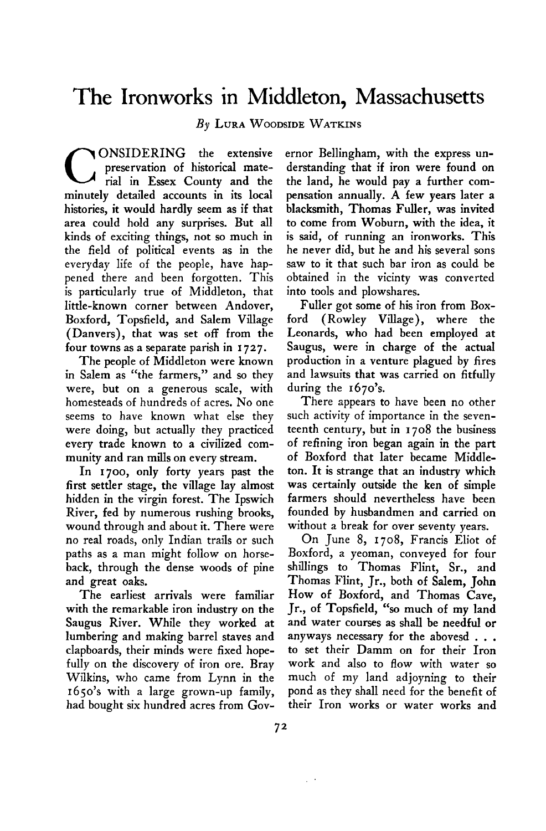## **The Ironworks in Middleton, Massachusetts**

**By LURA WOODSIDE WATKINS** 

**CONSIDERING** the extensive preservation of historical mate-<br>
rial in Essex County and the **preservation of historical mateminutely detailed accounts in its local histories, it would hardly seem as if that area could hold any surprises. But all kinds of exciting things, not so much in the field of political events as in the everyday life of the people, have happened there and been forgotten. This is particularly true of Middleton, that little-known corner between Andover, Boxford, Topsfield, and Salem Village (Danvers), that was set off from the four towns as a separate parish in I 727.** 

**The people of Middleton were known in Salem as "the farmers," and so they were, but on a generous scale, with homesteads of hundreds of acres. No one seems to have known what else they were doing, but actually they practiced every trade known to a civilized community and ran mills on every stream.** 

**In 1700, only forty years past the first settler stage, the village lay almost hidden in the virgin forest. The Ipswich River, fed by numerous rushing brooks, wound through and about it. There were no real roads, only Indian trails or such paths as a man might follow on horseback, through the dense woods of pine and great oaks.** 

**The earliest arrivals were familiar with the remarkable iron industry on the Saugus River. While they worked at lumbering and making barrel staves and clapboards, their minds were fixed hopefully on the discovery of iron ore. Bray Wilkins, who came from Lynn in the 1650's with a large grown-up family, had bought six hundred acres from Gov-**

**ernor Bellingham, with the express understanding that if iron were found on the land, he would pay a further compensation annually. A few years later a blacksmith, Thomas Fuller, was invited to come from Woburn, with the idea, it is said, of running an ironworks. This he never did, but he and his several sons saw to it that such bar iron as could be obtained in the vicinty was converted into tools and plowshares.** 

**Fuller got some of his iron from Boxford (Rowley Village), where the Leonards, who had been employed at Saugus, were in charge of the actual production in a venture plagued by fires and lawsuits that was carried on fitfully during the 1670's.** 

**There appears to have been no other such activity of importance in the seventeenth century, but in 1708 the business of refining iron began again in the part of Boxford that later became Middleton. It is strange that an industry which was certainly outside the ken of simple farmers should nevertheless have been founded by husbandmen and carried on without a break for over seventy years.** 

**On June 8, 1708, Francis Eliot of Boxford, a yeoman, conveyed for four shillings to Thomas Flint, Sr., and Thomas Flint, Jr., both of Salem, John HOW of Boxford, and Thomas Cave, Jr., of Topsfield, "so much of my land and water courses as shall be needful or anyways necessary for the abovesd . . . to set their Damm on for their Iron work and also to flow with water so much of my land adjoyning to their pond as they shall need for the benefit of their Iron works or water works and**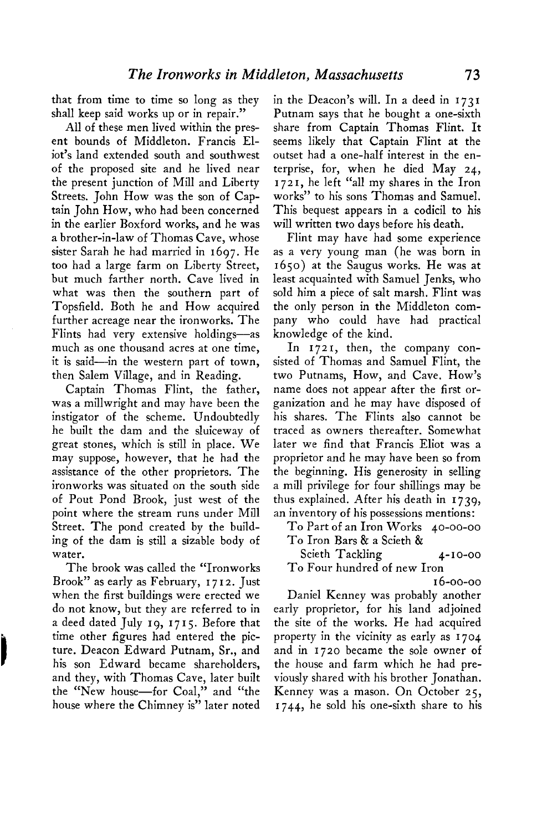**that from time to time so long as they shall keep said works up or in repair."** 

**All of these men lived within the present bounds of Middleton. Francis Eliot's land extended south and southwest of the proposed site and he lived near the present junction of Mill and Liberty Streets. John How was the son of Captain John How, who had been concerned in the earlier Boxford works, and he was a brother-in-law of Thomas Cave, whose sister Sarah he had married in 1697. He too had a large farm on Liberty Street, but much farther north. Cave lived in what was then the southern part of Topsfield. Both he and How acquired further acreage near the ironworks. The Flints had very extensive holdings-as much as one thousand acres at one time, it is said-in the western part of town, then Salem Village, and in Reading.** 

**Captain Thomas Flint, the father, was a millwright and may have been the instigator of the scheme. Undoubtedly he built the dam and the sluiceway of great stones, which is still in place. We may suppose, however, that he had the assistance of the other proprietors. The ironworks was situated on the south side of Pout Pond Brook, just west of the point where the stream runs under Mill Street. The pond created by the building of the dam is still a sizable body of water.** 

**The brook was called the "Ironworks Brook" as early as February, I 7 I 2. Just when the first buildings were erected we do not know, but they are referred to in a deed dated July 19, I 7 I 5. Before that time other figures had entered the picture. Deacon Edward Putnam, Sr., and his son Edward became shareholders, and they, with Thomas Cave, later built the "New house-for Coal," and "the house where the Chimney is" later noted** 

j

**in the Deacon's will. In a deed in 1731 Putnam says that he bought a one-sixth share from Captain Thomas Flint. It seems likely that Captain Flint at the outset had a one-half interest in the enterprise, for, when he died May 24, I 72 I, he left "all my shares in the Iron works" to his sons Thomas and Samuel. This bequest appears in a codicil to his will written two days before his death.** 

**Flint may have had some experience as a very young man (he was born in 1650) at the Saugus works. He was at least acquainted with Samuel Jenks, who sold him a piece of salt marsh. Flint was the only person in the Middleton company who could have had practical knowledge of the kind.** 

In 1721, then, the company con**sisted of Thomas and Samuel Flint, the two Putnams, How, and Cave. HOW'S name does not appear after the first organization and he may have disposed of his shares. The Flints also cannot be traced as owners thereafter. Somewhat later we find that Francis Eliot was a proprietor and he may have been so from the beginning. His generosity in selling a mill privilege for four shillings may be thus explained. After his death in 1739, an inventory of his possessions mentions:** 

**To Part of an Iron Works 40-00-00 To Iron Bars & a Scieth &** 

**Scieth Tackling 4-10-00 To Four hundred of new Iron** 

**I 6-00-00** 

**Daniel Kenney was probably another early proprietor, for his land adjoined the site of the works. He had acquired property in the vicinity as early as 1704 and in 1720 became the sole owner of the house and farm which he had previously shared with his brother Jonathan. Kenney was a mason. On October 25, 1744, he sold his one-sixth share to his**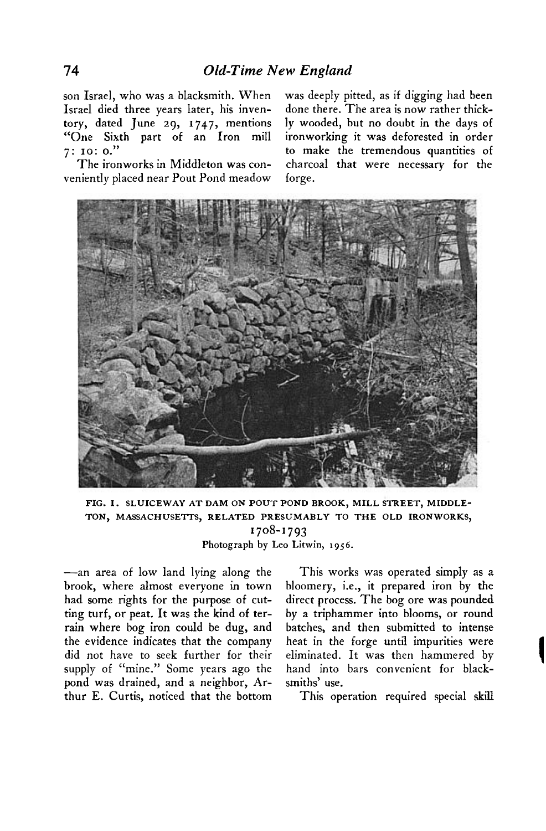**Israel died three years later, his inven- done there. The area is now rather thicktory, dated June 29, 1747, mentions ly wooded, but no doubt in the days of "One Sixth part of an Iron mill ironworking it was deforested in order** 

**veniently placed near Pout Pond meadow forge.** 

**son Israel, who was a blacksmith. When was deeply pitted, as if digging had been 7: 10: 0." to make the tremendous quantities of The ironworks in Middleton was con- charcoal that were necessary for the** 



**FIG. I. SLUICEWAY AT DAM ON POUT POND BROOK, MILL STREET, MIDDLE-TON, MASSACHUSETTS, RELATED PRESUMABLY TO THE OLD IRONWORKS, '708-1793 Photograph by Leo Litwin, 1956.** 

**-an area of low land lying along the brook, where almost everyone in town had some rights for the purpose of cutting turf, or peat. It was the kind of terrain where bog iron could be dug, and the evidence indicates that the company did not have to seek further for their supply of "mine." Some years ago the pond was drained, and a neighbor, Arthur E. Curtis, noticed that the bottom** 

**This works was operated simply as a bloomery, i.e., it prepared iron by the direct process. The bog ore was pounded by a triphammer into blooms, or round batches, and then submitted to intense heat in the forge until impurities were eliminated. It was then hammered by hand into bars convenient for blacksmiths' use.** 

**This operation required special skill**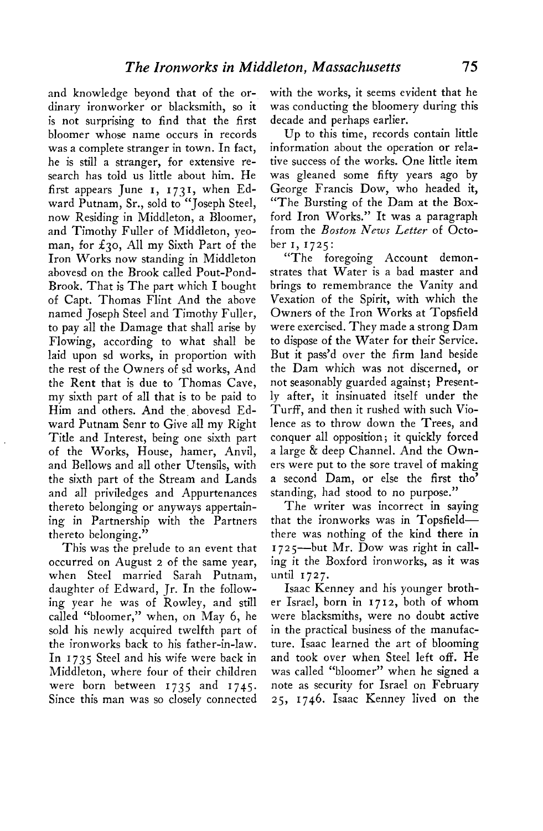**and knowledge beyond that of the ordinary ironworker or blacksmith, so it is not surprising to find that the first bloomer whose name occurs in records was a complete stranger in town. In fact, he is still a stranger, for extensive research has told us little about him. He**  first appears June 1, 1731, when Ed**ward Putnam, Sr., sold to "Joseph Steel, now Residing in Middleton, a Bloomer, and Timothy Fuller of Middleton, yeoman, for f3o, All my Sixth Part of the Iron Works now standing in Middleton abovesd on the Brook called Pout-Pond-Brook. That is The part which I bought of Capt. Thomas Flint And the above named Joseph Steel and Timothy Fuller, to pay all the Damage that shall arise by Flowing, according to what shall be laid upon sd works, in proportion with the rest of the Owners of sd works, And the Rent that is due to Thomas Cave, my sixth part of all that is to be paid to**  Him and others. And the abovesd Ed**ward Putnam Senr to Give all my Right Title and Interest, being one sixth part of the Works, House, hamer, Anvil, and Bellows and all other Utensils, with the sixth part of the Stream and Lands and all priviledges and Appurtenances thereto belonging or anyways appertaining in Partnership with the Partners thereto belonging."** 

**This was the prelude to an event that occurred on August 2 of the same year, when Steel married Sarah Putnam, daughter of Edward, Jr. In the following year he was of Rowley, and still called "bloomer," when, on May 6, he sold his newly acquired twelfth part of the ironworks back to his father-in-law. In 1735 Steel and his wife were back in Middleton, where four of their children were born between 1735 and 1745. Since this man was so closely connected**  **with the works, it seems evident that he was conducting the bloomery during this decade and perhaps earlier.** 

**Up to this time, records contain little information about the operation or relative success of the works. One little item was gleaned some fifty years ago by George Francis Dow, who headed it, "The Bursting of the Dam at the Boxford Iron Works." It was a paragraph from the Boston News Letter of October I, 1725:** 

**"The foregoing Account demonstrates that Water is a bad master and brings to remembrance the Vanity and Vexation of the Spirit, with which the Owners of the Iron Works at Topsfield were exercised. They made a strong Dam to dispose of the Water for their Service. But it pass'd over the firm land beside the Dam which was not discerned, or not seasonably guarded against; Presently after, it insinuated itself under the Turff, and then it rushed with such Violence as to throw down the Trees, and conquer all opposition; it quickly forced a large & deep Channel. And the Owners were put to the sore travel of making a second Dam, or else the first tho' standing, had stood to no purpose."** 

**The writer was incorrect in saying that the ironworks was in Topsfieldthere was nothing of the kind there in I 72 5-but Mr. Dow was right in calling it the Boxford ironworks, as it was until 1727.** 

**Isaac Kenney and his younger brother Israel, born in 17 12, both of whom were blacksmiths, were no doubt active in the practical business of the manufacture. Isaac learned the art of blooming and took over when Steel left off. He was called "bloomer" when he signed a note as security for Israel on February 25, 1746. Isaac Kenney lived on the**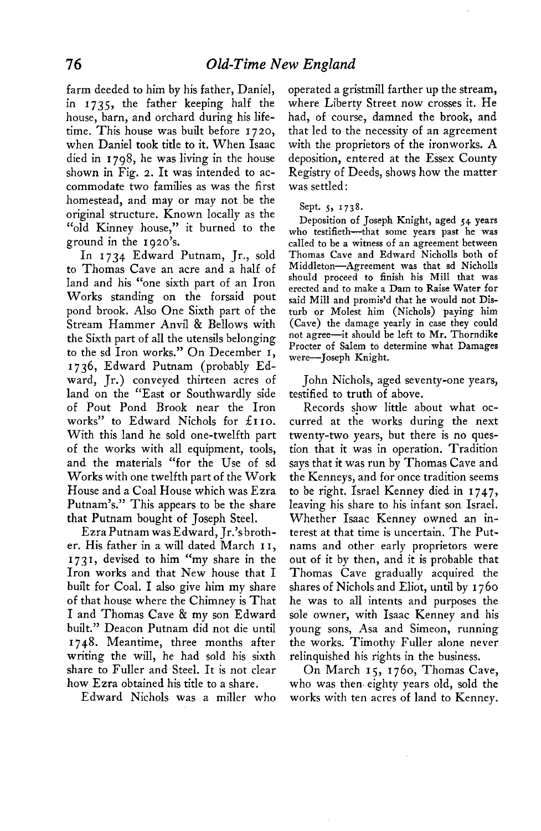**farm deeded to him by his father, Daniel, in 1735, the father keeping half the house, barn, and orchard during his lifetime. This house was built before 1720, when Daniel took title to it. When Isaac died in 1798, he was living in the house shown in Fig. 2. It was intended to accommodate two families as was the first homestead, and may or may not be the original structure. Known locally as the "old Kinney house," it burned to the ground in the 1920s. '**

**In 1734 Edward Putnam, Jr., sold to Thomas Cave an acre and a half of land and his "one sixth part of an Iron Works standing on the forsaid pout pond brook. Also One Sixth part of the Stream Hammer Anvil & Bellows with the Sixth part of all the utensils belonging to the sd Iron works." On December I, 1736, Edward Putnam (probably Edward, Jr.) conveyed thirteen acres of land on the "East or Southwardly side of Pout Pond Brook near the Iron works" to Edward Nichols for 21 IO. With this land he sold one-twelfth part of the works with all equipment, tools, and the materials "for the Use of sd Works with one twelfth part of the Work House and a Coal House which was Ezra Putnam's." This appears to be the share that Putnam bought of Joseph Steel.** 

**Ezra Putnam was Edward, Jr.'s brother. His father in a will dated March I I, I 73 I, devised to him "my share in the Iron works and that New house that I built for Coal. I also give him my share of that house where the Chimney is That I and Thomas Cave & my son Edward built." Deacon Putnam did not die until I 748. Meantime, three months after writing the will, he had sold his sixth share to Fuller and Steel. It is not clear how Ezra obtained his title to a share.** 

**Edward Nichols was a miller who** 

**operated a gristmill farther up the stream, where Liberty Street now crosses it. He had, of course, damned the brook, and that led to the necessity of an agreement with the proprietors of the ironworks. A deposition, entered at the Essex County Registry of Deeds, shows how the matter was settled :** 

## **Sept. 5, 1738.**

**Deposition of Joseph Knight, aged 54 years**  who testifieth-that some years past he was **called to be a witness of an agreement between Thomas Cave and Edward Nicholls both of Middleton-Agreement was that sd Nicholls should proceed to finish his Mill that was erected and to make a Dam to Raise Water for said Mill and promis'd that he would not Disturb or Molest him (Nichols) paying him (Cave) the damage yearly in case they could not agree-it should be left to Mr. Thorndike Procter of Salem to determine what Damages were-Joseph Knight.** 

**John Nichols, aged seventy-one years, testified to truth of above.** 

**Records show little about what occurred at the works during the next twenty-two years, but there is no question that it was in operation. Tradition says that it was run by Thomas Cave and the Kenneys, and for once tradition seems to be right. Israel Kenney died in 174.7, leaving his share to his infant son Israel. Whether Isaac Kenney owned an interest at that time is uncertain. The Putnams and other early proprietors were out of it by then, and it is probable that Thomas Cave gradually acquired the shares of Nichols and Eliot, until by I 760 he was to all intents and purposes the sole owner, with Isaac Kenney and his young sons, Asa and Simeon, running the works. Timothy Fuller alone never relinquished his rights in the business.** 

**On March 15, 1760, Thomas Cave, who was then. eighty years old, sold the works with ten acres of land to Kenney.**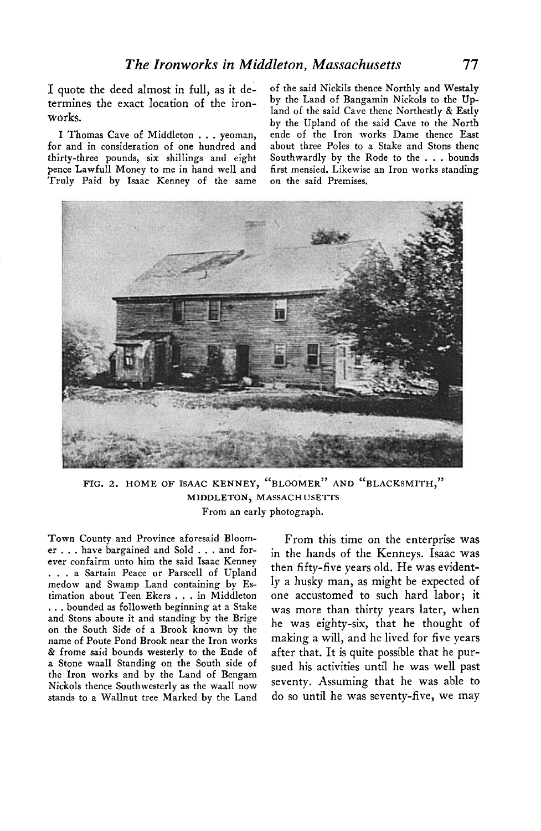**termines the exact location of the ironworks.** 

for and in consideration of one hundred and thirty-three pounds, six shillings and eight pence Lawfull Money to me in hand well and first mensied. Likewise<br>Truly Paid by Isaac Kenney of the same on the said Premises. Truly Paid by Isaac Kenney of the same

I quote the deed almost in full, as it de-<br> **by** the Land of Bangamin Nickols to the Up-<br> **termines** the event location of the iron by the Land of Bangamin Nickols to the Up**land of the said Cave thenc Northestly & Estly bv the Upland of the said Cave to the North**  I Thomas Cave of Middleton **. .** . yeoman, ende of the Iron works Dame thence East **r** and in consideration of one hundred and about three Poles to a Stake and Stons thenc Southwardly by the Rode to the . . . bounds first mensied. Likewise an Iron works standing



**FIG. 2. HOME OF ISAAC KENNEY, "BLOOMER" AND "BLACKSMITH," MIDDLETON, MASSACHUSETTS From an early photograph.** 

**Town County and Province aforesaid Bloomer . . . have bargained and Sold . . . and forever confairm unto him the said Isaac Kenney . . . a Sartain Peace or Parscell of Upland medow and Swamp Land containing by Estimation about Teen Ekers . . . in Middleton . . . bounded as followeth beginning at a Stake and Stons aboute it and standing by the Brige on the South Side of a Brook known by the name of Poute Pond Brook near the Iron works & frome said bounds westerly to the Ende of a Stone waall Standing on the South side of the Iron works and by the Land of Bengam Nickels thence Southwesterly as the waall now stands to a Wallnut tree Marked by the Land** 

**From this time on the enterprise was in the hands of the Kenneys. Isaac was then fifty-five years old. He was evidently a husky man, as might be expected of one accustomed to such hard labor; it was more than thirty years later, when he was eighty-six, that he thought of making a will, and he lived for five years after that. It is quite possible that he pursued his activities until he was well past seventy. Assuming that he was able to do so until he was seventy-five, we may**